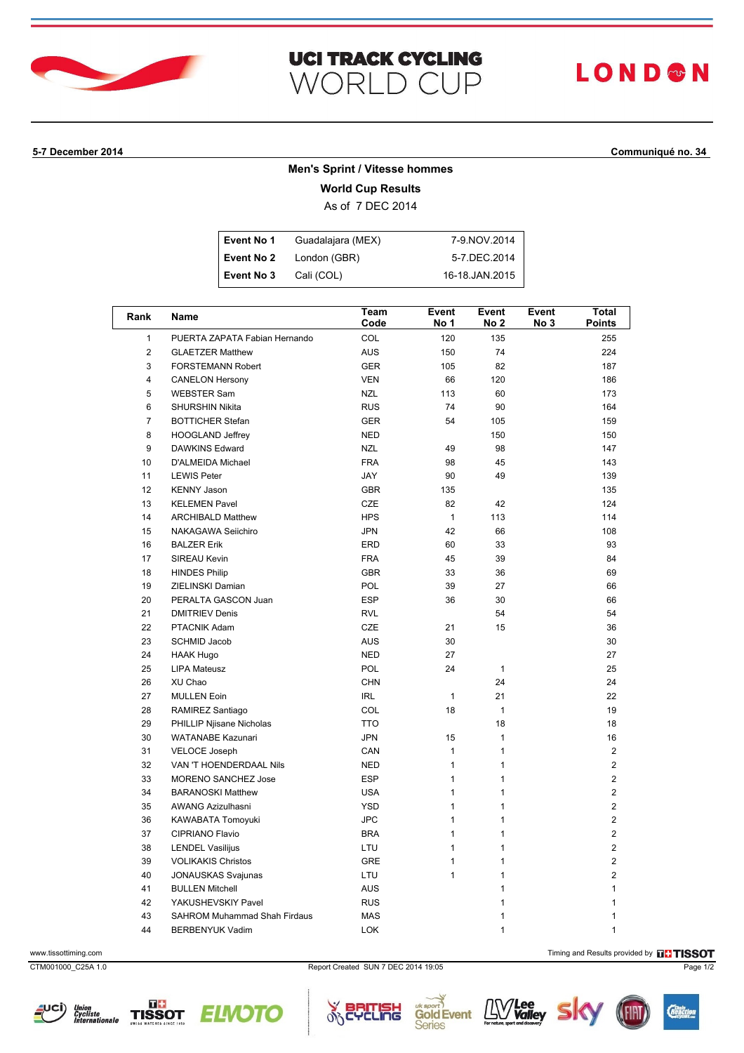

### **UCI TRACK CYCLING** WORLD CUP

# **LOND®N**

### **5-7 December 2014 Communiqué no. 34**

### **Men's Sprint / Vitesse hommes**

**World Cup Results**

As of 7 DEC 2014

| Event No 1 | Guadalajara (MEX) | 7-9 NOV 2014   |
|------------|-------------------|----------------|
| Event No 2 | London (GBR)      | 5-7 DEC 2014   |
| Event No 3 | Cali (COL)        | 16-18.JAN.2015 |

| Rank                    | Name                          | Team<br>Code | Event<br>No 1 | Event<br>No 2 | Event<br>No 3 | Total<br><b>Points</b> |
|-------------------------|-------------------------------|--------------|---------------|---------------|---------------|------------------------|
| $\mathbf{1}$            | PUERTA ZAPATA Fabian Hernando | COL          | 120           | 135           |               | 255                    |
| $\overline{c}$          | <b>GLAETZER Matthew</b>       | <b>AUS</b>   | 150           | 74            |               | 224                    |
| 3                       | FORSTEMANN Robert             | <b>GER</b>   | 105           | 82            |               | 187                    |
| $\overline{\mathbf{4}}$ | <b>CANELON Hersony</b>        | <b>VEN</b>   | 66            | 120           |               | 186                    |
| 5                       | <b>WEBSTER Sam</b>            | <b>NZL</b>   | 113           | 60            |               | 173                    |
| 6                       | <b>SHURSHIN Nikita</b>        | <b>RUS</b>   | 74            | 90            |               | 164                    |
| $\overline{7}$          | <b>BOTTICHER Stefan</b>       | <b>GER</b>   | 54            | 105           |               | 159                    |
| 8                       | <b>HOOGLAND Jeffrey</b>       | <b>NED</b>   |               | 150           |               | 150                    |
| 9                       | DAWKINS Edward                | <b>NZL</b>   | 49            | 98            |               | 147                    |
| 10                      | D'ALMEIDA Michael             | <b>FRA</b>   | 98            | 45            |               | 143                    |
| 11                      | <b>LEWIS Peter</b>            | JAY          | 90            | 49            |               | 139                    |
| 12                      | <b>KENNY Jason</b>            | <b>GBR</b>   | 135           |               |               | 135                    |
| 13                      | <b>KELEMEN Pavel</b>          | <b>CZE</b>   | 82            | 42            |               | 124                    |
| 14                      | <b>ARCHIBALD Matthew</b>      | <b>HPS</b>   | $\mathbf{1}$  | 113           |               | 114                    |
| 15                      | NAKAGAWA Seiichiro            | <b>JPN</b>   | 42            | 66            |               | 108                    |
| 16                      | <b>BALZER Erik</b>            | <b>ERD</b>   | 60            | 33            |               | 93                     |
| 17                      | SIREAU Kevin                  | <b>FRA</b>   | 45            | 39            |               | 84                     |
| 18                      | <b>HINDES Philip</b>          | <b>GBR</b>   | 33            | 36            |               | 69                     |
| 19                      | ZIELINSKI Damian              | POL          | 39            | 27            |               | 66                     |
| 20                      | PERALTA GASCON Juan           | <b>ESP</b>   | 36            | 30            |               | 66                     |
| 21                      | <b>DMITRIEV Denis</b>         | <b>RVL</b>   |               | 54            |               | 54                     |
| 22                      | PTACNIK Adam                  | CZE          | 21            | 15            |               | 36                     |
| 23                      | SCHMID Jacob                  | <b>AUS</b>   | 30            |               |               | 30                     |
| 24                      | <b>HAAK Hugo</b>              | <b>NED</b>   | 27            |               |               | 27                     |
| 25                      | <b>LIPA Mateusz</b>           | POL          | 24            | $\mathbf{1}$  |               | 25                     |
| 26                      | XU Chao                       | <b>CHN</b>   |               | 24            |               | 24                     |
| 27                      | <b>MULLEN Eoin</b>            | <b>IRL</b>   | $\mathbf{1}$  | 21            |               | 22                     |
| 28                      | RAMIREZ Santiago              | COL          | 18            | $\mathbf{1}$  |               | 19                     |
| 29                      | PHILLIP Njisane Nicholas      | <b>TTO</b>   |               | 18            |               | 18                     |
| 30                      | WATANABE Kazunari             | <b>JPN</b>   | 15            | $\mathbf{1}$  |               | 16                     |
| 31                      | <b>VELOCE Joseph</b>          | CAN          | $\mathbf{1}$  | $\mathbf{1}$  |               | $\overline{2}$         |
| 32                      | VAN 'T HOENDERDAAL Nils       | <b>NED</b>   | $\mathbf{1}$  | 1             |               | $\overline{2}$         |
| 33                      | MORENO SANCHEZ Jose           | <b>ESP</b>   | 1             | $\mathbf{1}$  |               | $\overline{2}$         |
| 34                      | <b>BARANOSKI Matthew</b>      | <b>USA</b>   | $\mathbf{1}$  | $\mathbf{1}$  |               | $\overline{2}$         |
| 35                      | AWANG Azizulhasni             | <b>YSD</b>   | $\mathbf{1}$  | $\mathbf{1}$  |               | $\overline{2}$         |
| 36                      | KAWABATA Tomoyuki             | <b>JPC</b>   | $\mathbf{1}$  | 1             |               | 2                      |
| 37                      | CIPRIANO Flavio               | <b>BRA</b>   | 1             | $\mathbf{1}$  |               | $\overline{2}$         |
| 38                      | <b>LENDEL Vasilijus</b>       | LTU          | 1             | $\mathbf{1}$  |               | $\overline{2}$         |
| 39                      | <b>VOLIKAKIS Christos</b>     | <b>GRE</b>   | $\mathbf{1}$  | 1             |               | $\overline{2}$         |
| 40                      | <b>JONAUSKAS Svajunas</b>     | LTU          | $\mathbf{1}$  | 1             |               | 2                      |
| 41                      | <b>BULLEN Mitchell</b>        | <b>AUS</b>   |               | $\mathbf{1}$  |               | 1                      |
| 42                      | YAKUSHEVSKIY Pavel            | <b>RUS</b>   |               | 1             |               | $\mathbf{1}$           |
| 43                      | SAHROM Muhammad Shah Firdaus  | <b>MAS</b>   |               | 1             |               | 1                      |
| 44                      | <b>BERBENYUK Vadim</b>        | <b>LOK</b>   |               | $\mathbf{1}$  |               | $\mathbf{1}$           |

www.tissottiming.com **Timing and Results provided by FINSOT** 

CTM001000\_C25A 1.0 Report Created SUN 7 DEC 2014 19:05 Page 1/2